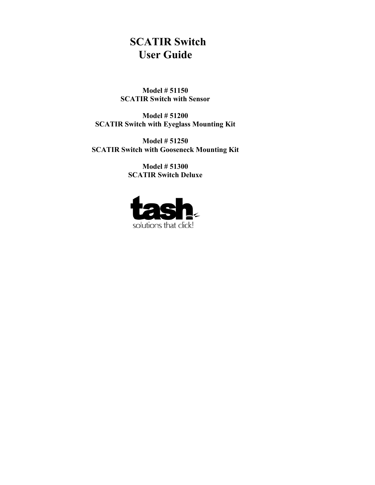# **SCATIR Switch User Guide**

**Model # 51150 SCATIR Switch with Sensor** 

**Model # 51200 SCATIR Switch with Eyeglass Mounting Kit** 

**Model # 51250 SCATIR Switch with Gooseneck Mounting Kit** 

> **Model # 51300 SCATIR Switch Deluxe**

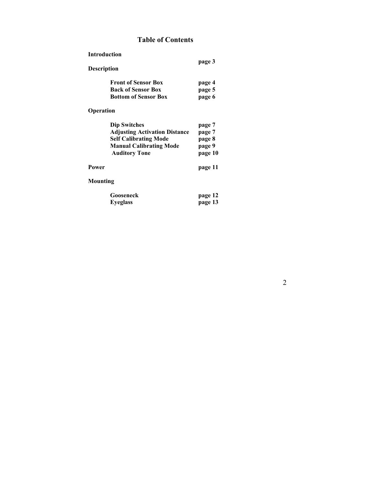## **Table of Contents**

| <b>Introduction</b>         |        |  |
|-----------------------------|--------|--|
| <b>Description</b>          | page 3 |  |
| <b>Front of Sensor Box</b>  | page 4 |  |
| <b>Back of Sensor Box</b>   | page 5 |  |
| <b>Bottom of Sensor Box</b> | page 6 |  |

**Operation** 

| page 7  |
|---------|
| page 7  |
| page 8  |
| page 9  |
| page 10 |
|         |

## Power page 11

## **Mounting**

| Gooseneck       | page 12 |
|-----------------|---------|
| <b>Eyeglass</b> | page 13 |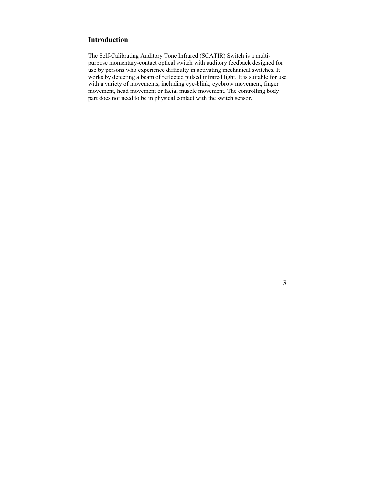## **Introduction**

The Self-Calibrating Auditory Tone Infrared (SCATIR) Switch is a multipurpose momentary-contact optical switch with auditory feedback designed for use by persons who experience difficulty in activating mechanical switches. It works by detecting a beam of reflected pulsed infrared light. It is suitable for use with a variety of movements, including eye-blink, eyebrow movement, finger movement, head movement or facial muscle movement. The controlling body part does not need to be in physical contact with the switch sensor.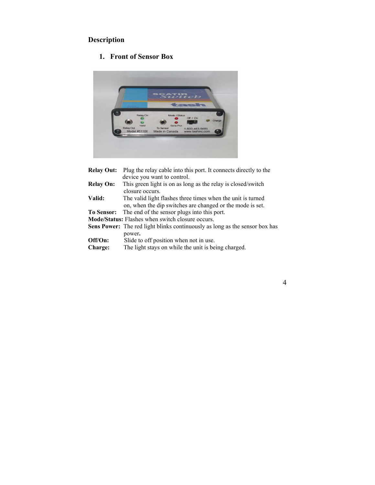# **Description**

# **1. Front of Sensor Box**



| <b>Relay Out:</b>         | Plug the relay cable into this port. It connects directly to the                                                         |
|---------------------------|--------------------------------------------------------------------------------------------------------------------------|
|                           | device you want to control.                                                                                              |
| <b>Relay On:</b>          | This green light is on as long as the relay is closed/switch<br>closure occurs.                                          |
| Valid:                    | The valid light flashes three times when the unit is turned<br>on, when the dip switches are changed or the mode is set. |
| <b>To Sensor:</b>         | The end of the sensor plugs into this port.                                                                              |
|                           | <b>Mode/Status:</b> Flashes when switch closure occurs.                                                                  |
|                           | <b>Sens Power:</b> The red light blinks continuously as long as the sensor box has<br>power.                             |
| Off/On:<br><b>Charge:</b> | Slide to off position when not in use.<br>The light stays on while the unit is being charged.                            |

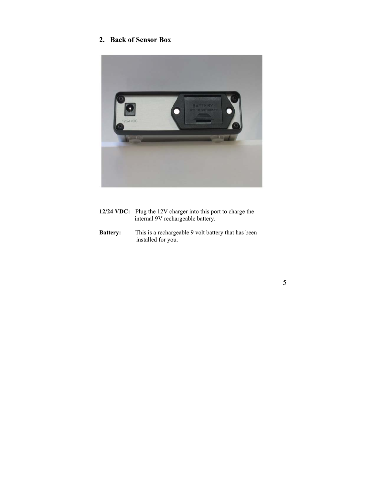# **2. Back of Sensor Box**



| 12/24 VDC: Plug the 12V charger into this port to charge the |
|--------------------------------------------------------------|
| internal 9V rechargeable battery.                            |

**Battery:** This is a rechargeable 9 volt battery that has been installed for you.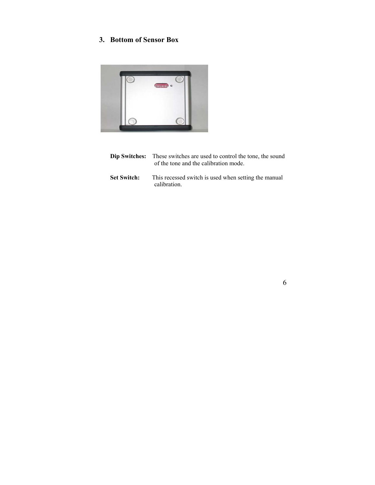# **3. Bottom of Sensor Box**



- **Dip Switches:** These switches are used to control the tone, the sound of the tone and the calibration mode.
- Set Switch: This recessed switch is used when setting the manual calibration.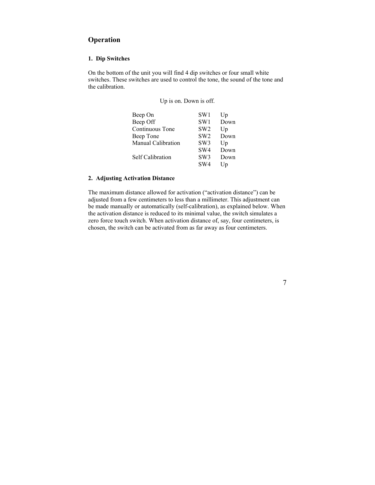## **Operation**

#### **1. Dip Switches**

On the bottom of the unit you will find 4 dip switches or four small white switches. These switches are used to control the tone, the sound of the tone and the calibration.

Up is on. Down is off.

| Beep On                   | SW <sub>1</sub> | Up             |
|---------------------------|-----------------|----------------|
| Beep Off                  | SW <sub>1</sub> | Down           |
| Continuous Tone           | SW <sub>2</sub> | Up             |
| Beep Tone                 | SW <sub>2</sub> | Down           |
| <b>Manual Calibration</b> | SW3             | U <sub>p</sub> |
|                           | SW <sub>4</sub> | Down           |
| Self Calibration          | SW3             | Down           |
|                           | SW4             | Up             |

#### **2. Adjusting Activation Distance**

The maximum distance allowed for activation ("activation distance") can be adjusted from a few centimeters to less than a millimeter. This adjustment can be made manually or automatically (self-calibration), as explained below. When the activation distance is reduced to its minimal value, the switch simulates a zero force touch switch. When activation distance of, say, four centimeters, is chosen, the switch can be activated from as far away as four centimeters.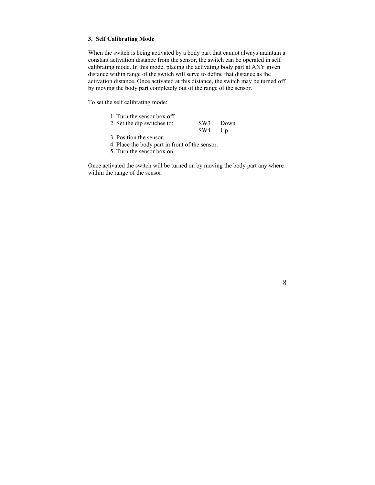#### **3. Self Calibrating Mode**

When the switch is being activated by a body part that cannot always maintain a constant activation distance from the sensor, the switch can be operated in self calibrating mode. In this mode, placing the activating body part at ANY given distance within range of the switch will serve to define that distance as the activation distance. Once activated at this distance, the switch may be turned off by moving the body part completely out of the range of the sensor.

To set the self calibrating mode:

| 1. Turn the sensor box off. |        |          |
|-----------------------------|--------|----------|
| 2. Set the dip switches to: |        | SW3 Down |
|                             | SW4 Up |          |

- 3. Position the sensor.
- 4. Place the body part in front of the sensor.
- 5. Turn the sensor box on.

Once activated the switch will be turned on by moving the body part any where within the range of the sensor.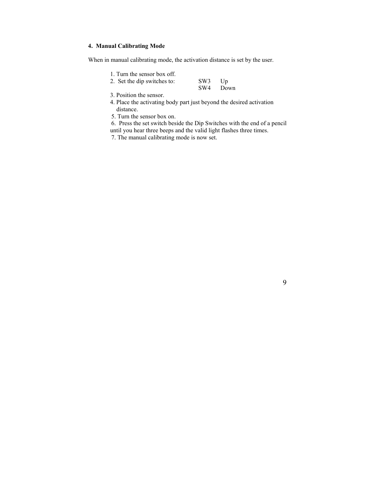#### **4. Manual Calibrating Mode**

When in manual calibrating mode, the activation distance is set by the user.

1. Turn the sensor box off.

| 2. Set the dip switches to: | SW3 Up |          |
|-----------------------------|--------|----------|
|                             |        | SW4 Down |

3. Position the sensor.

- 4. Place the activating body part just beyond the desired activation distance.
- 5. Turn the sensor box on.

 6. Press the set switch beside the Dip Switches with the end of a pencil until you hear three beeps and the valid light flashes three times.

7. The manual calibrating mode is now set.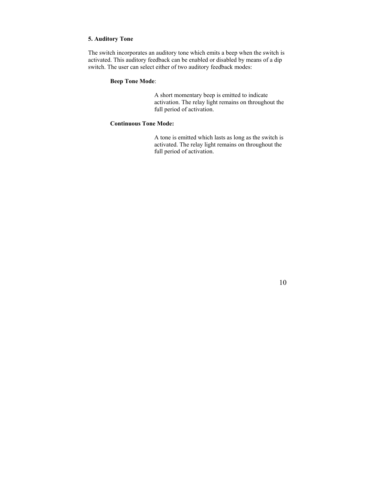#### **5. Auditory Tone**

The switch incorporates an auditory tone which emits a beep when the switch is activated. This auditory feedback can be enabled or disabled by means of a dip switch. The user can select either of two auditory feedback modes:

#### **Beep Tone Mode**:

 A short momentary beep is emitted to indicate activation. The relay light remains on throughout the full period of activation.

#### **Continuous Tone Mode:**

 A tone is emitted which lasts as long as the switch is activated. The relay light remains on throughout the full period of activation.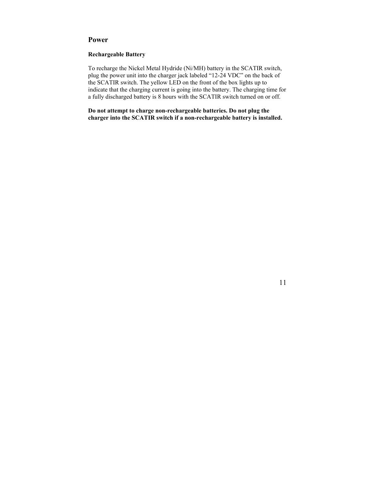#### **Power**

#### **Rechargeable Battery**

To recharge the Nickel Metal Hydride (Ni/MH) battery in the SCATIR switch, plug the power unit into the charger jack labeled "12-24 VDC" on the back of the SCATIR switch. The yellow LED on the front of the box lights up to indicate that the charging current is going into the battery. The charging time for a fully discharged battery is 8 hours with the SCATIR switch turned on or off.

**Do not attempt to charge non-rechargeable batteries. Do not plug the charger into the SCATIR switch if a non-rechargeable battery is installed.**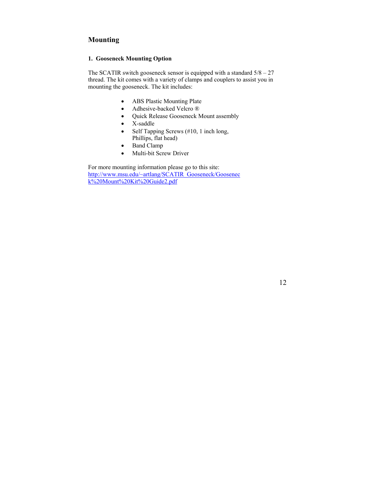### **Mounting**

#### **1. Gooseneck Mounting Option**

The SCATIR switch gooseneck sensor is equipped with a standard  $5/8 - 27$ thread. The kit comes with a variety of clamps and couplers to assist you in mounting the gooseneck. The kit includes:

- ABS Plastic Mounting Plate
- Adhesive-backed Velcro ®
- Quick Release Gooseneck Mount assembly
- X-saddle
- Self Tapping Screws (#10, 1 inch long, Phillips, flat head)
- Band Clamp
- Multi-bit Screw Driver

For more mounting information please go to this site: http://www.msu.edu/~artlang/SCATIR\_Gooseneck/Goosenec k%20Mount%20Kit%20Guide2.pdf

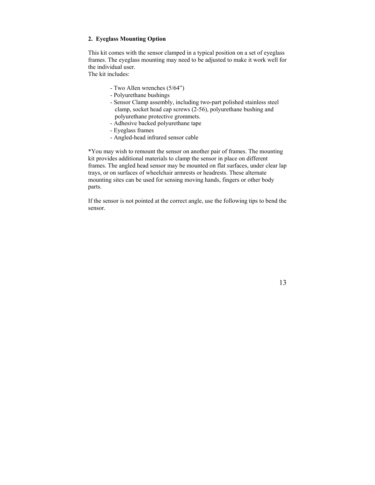#### **2. Eyeglass Mounting Option**

This kit comes with the sensor clamped in a typical position on a set of eyeglass frames. The eyeglass mounting may need to be adjusted to make it work well for the individual user.

The kit includes:

- Two Allen wrenches (5/64")
- Polyurethane bushings
- Sensor Clamp assembly, including two-part polished stainless steel clamp, socket head cap screws (2-56), polyurethane bushing and polyurethane protective grommets.
- Adhesive backed polyurethane tape
- Eyeglass frames
- Angled-head infrared sensor cable

\*You may wish to remount the sensor on another pair of frames. The mounting kit provides additional materials to clamp the sensor in place on different frames. The angled head sensor may be mounted on flat surfaces, under clear lap trays, or on surfaces of wheelchair armrests or headrests. These alternate mounting sites can be used for sensing moving hands, fingers or other body parts.

If the sensor is not pointed at the correct angle, use the following tips to bend the sensor.